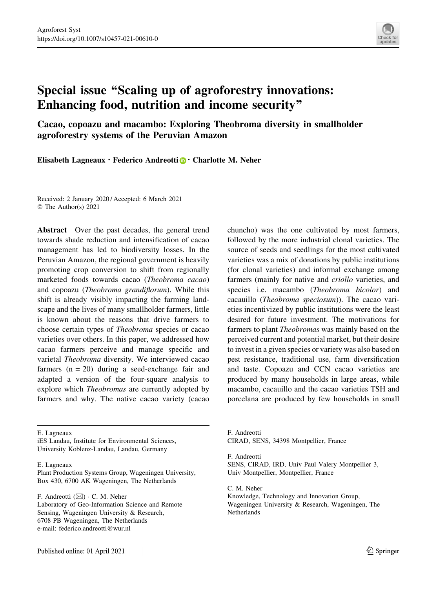

# Special issue ''Scaling up of agroforestry innovations: Enhancing food, nutrition and income security''

Cacao, copoazu and macambo: Exploring Theobroma diversity in smallholder agroforestry systems of the Peruvian Amazon

Elisabeth Lagneaux  $\cdot$  Federico Andreotti  $\cdot$  Charlotte M. Neher

Received: 2 January 2020 / Accepted: 6 March 2021 © The Author(s) 2021

Abstract Over the past decades, the general trend towards shade reduction and intensification of cacao management has led to biodiversity losses. In the Peruvian Amazon, the regional government is heavily promoting crop conversion to shift from regionally marketed foods towards cacao (Theobroma cacao) and copoazu (Theobroma grandiflorum). While this shift is already visibly impacting the farming landscape and the lives of many smallholder farmers, little is known about the reasons that drive farmers to choose certain types of Theobroma species or cacao varieties over others. In this paper, we addressed how cacao farmers perceive and manage specific and varietal Theobroma diversity. We interviewed cacao farmers  $(n = 20)$  during a seed-exchange fair and adapted a version of the four-square analysis to explore which Theobromas are currently adopted by farmers and why. The native cacao variety (cacao

chuncho) was the one cultivated by most farmers, followed by the more industrial clonal varieties. The source of seeds and seedlings for the most cultivated varieties was a mix of donations by public institutions (for clonal varieties) and informal exchange among farmers (mainly for native and criollo varieties, and species i.e. macambo (Theobroma bicolor) and cacauillo (Theobroma speciosum)). The cacao varieties incentivized by public institutions were the least desired for future investment. The motivations for farmers to plant Theobromas was mainly based on the perceived current and potential market, but their desire to invest in a given species or variety was also based on pest resistance, traditional use, farm diversification and taste. Copoazu and CCN cacao varieties are produced by many households in large areas, while macambo, cacauillo and the cacao varieties TSH and porcelana are produced by few households in small

E. Lagneaux

iES Landau, Institute for Environmental Sciences, University Koblenz-Landau, Landau, Germany

E. Lagneaux

Plant Production Systems Group, Wageningen University, Box 430, 6700 AK Wageningen, The Netherlands

F. Andreotti (⊠) · C. M. Neher Laboratory of Geo-Information Science and Remote Sensing, Wageningen University & Research, 6708 PB Wageningen, The Netherlands e-mail: federico.andreotti@wur.nl

F. Andreotti CIRAD, SENS, 34398 Montpellier, France

F. Andreotti SENS, CIRAD, IRD, Univ Paul Valery Montpellier 3, Univ Montpellier, Montpellier, France

C. M. Neher Knowledge, Technology and Innovation Group, Wageningen University & Research, Wageningen, The Netherlands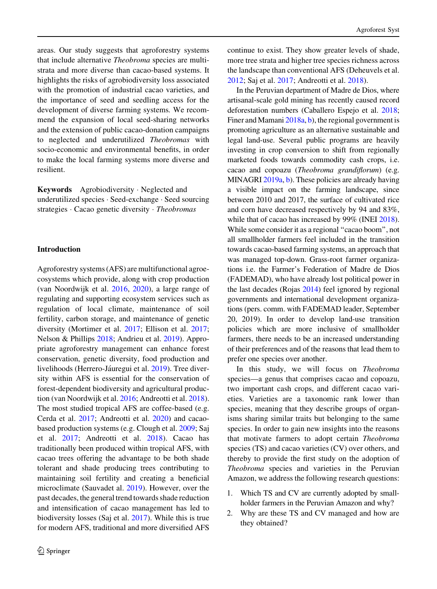areas. Our study suggests that agroforestry systems that include alternative Theobroma species are multistrata and more diverse than cacao-based systems. It highlights the risks of agrobiodiversity loss associated with the promotion of industrial cacao varieties, and the importance of seed and seedling access for the development of diverse farming systems. We recommend the expansion of local seed-sharing networks and the extension of public cacao-donation campaigns to neglected and underutilized Theobromas with socio-economic and environmental benefits, in order to make the local farming systems more diverse and resilient.

Keywords Agrobiodiversity · Neglected and underutilized species - Seed-exchange - Seed sourcing strategies · Cacao genetic diversity · Theobromas

#### Introduction

Agroforestry systems (AFS) are multifunctional agroecosystems which provide, along with crop production (van Noordwijk et al. [2016,](#page-9-0) [2020](#page-9-0)), a large range of regulating and supporting ecosystem services such as regulation of local climate, maintenance of soil fertility, carbon storage, and maintenance of genetic diversity (Mortimer et al. [2017;](#page-8-0) Ellison et al. [2017](#page-8-0); Nelson & Phillips [2018;](#page-8-0) Andrieu et al. [2019\)](#page-8-0). Appropriate agroforestry management can enhance forest conservation, genetic diversity, food production and livelihoods (Herrero-Jáuregui et al. [2019](#page-8-0)). Tree diversity within AFS is essential for the conservation of forest-dependent biodiversity and agricultural production (van Noordwijk et al. [2016](#page-9-0); Andreotti et al. [2018](#page-8-0)). The most studied tropical AFS are coffee-based (e.g. Cerda et al. [2017](#page-8-0); Andreotti et al. [2020](#page-8-0)) and cacaobased production systems (e.g. Clough et al. [2009](#page-8-0); Saj et al. [2017;](#page-9-0) Andreotti et al. [2018\)](#page-8-0). Cacao has traditionally been produced within tropical AFS, with cacao trees offering the advantage to be both shade tolerant and shade producing trees contributing to maintaining soil fertility and creating a beneficial microclimate (Sauvadet al. [2019](#page-9-0)). However, over the past decades, the general trend towards shade reduction and intensification of cacao management has led to biodiversity losses (Saj et al. [2017\)](#page-9-0). While this is true for modern AFS, traditional and more diversified AFS

continue to exist. They show greater levels of shade, more tree strata and higher tree species richness across the landscape than conventional AFS (Deheuvels et al. [2012;](#page-8-0) Saj et al. [2017](#page-9-0); Andreotti et al. [2018\)](#page-8-0).

In the Peruvian department of Madre de Dios, where artisanal-scale gold mining has recently caused record deforestation numbers (Caballero Espejo et al. [2018](#page-8-0); Finer and Mamani [2018a](#page-8-0), [b](#page-8-0)), the regional government is promoting agriculture as an alternative sustainable and legal land-use. Several public programs are heavily investing in crop conversion to shift from regionally marketed foods towards commodity cash crops, i.e. cacao and copoazu (Theobroma grandiflorum) (e.g. MINAGRI [2019a,](#page-8-0) [b](#page-8-0)). These policies are already having a visible impact on the farming landscape, since between 2010 and 2017, the surface of cultivated rice and corn have decreased respectively by 94 and 83%, while that of cacao has increased by 99% (INEI [2018\)](#page-8-0). While some consider it as a regional "cacao boom", not all smallholder farmers feel included in the transition towards cacao-based farming systems, an approach that was managed top-down. Grass-root farmer organizations i.e. the Farmer's Federation of Madre de Dios (FADEMAD), who have already lost political power in the last decades (Rojas [2014\)](#page-9-0) feel ignored by regional governments and international development organizations (pers. comm. with FADEMAD leader, September 20, 2019). In order to develop land-use transition policies which are more inclusive of smallholder farmers, there needs to be an increased understanding of their preferences and of the reasons that lead them to prefer one species over another.

In this study, we will focus on Theobroma species—a genus that comprises cacao and copoazu, two important cash crops, and different cacao varieties. Varieties are a taxonomic rank lower than species, meaning that they describe groups of organisms sharing similar traits but belonging to the same species. In order to gain new insights into the reasons that motivate farmers to adopt certain Theobroma species (TS) and cacao varieties (CV) over others, and thereby to provide the first study on the adoption of Theobroma species and varieties in the Peruvian Amazon, we address the following research questions:

- 1. Which TS and CV are currently adopted by smallholder farmers in the Peruvian Amazon and why?
- 2. Why are these TS and CV managed and how are they obtained?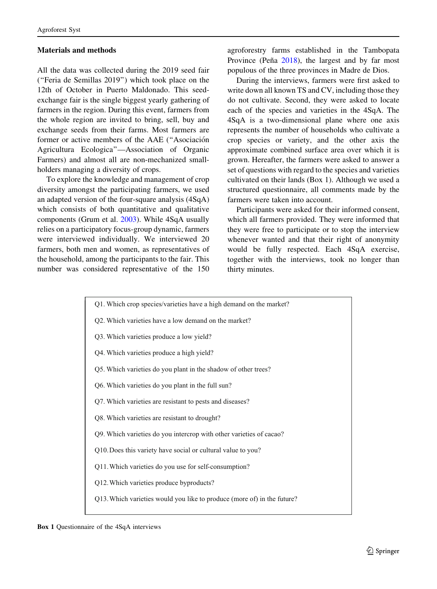## Materials and methods

All the data was collected during the 2019 seed fair (''Feria de Semillas 2019'') which took place on the 12th of October in Puerto Maldonado. This seedexchange fair is the single biggest yearly gathering of farmers in the region. During this event, farmers from the whole region are invited to bring, sell, buy and exchange seeds from their farms. Most farmers are former or active members of the AAE ("Asociación Agricultura Ecologica''—Association of Organic Farmers) and almost all are non-mechanized smallholders managing a diversity of crops.

To explore the knowledge and management of crop diversity amongst the participating farmers, we used an adapted version of the four-square analysis (4SqA) which consists of both quantitative and qualitative components (Grum et al. [2003](#page-8-0)). While 4SqA usually relies on a participatory focus-group dynamic, farmers were interviewed individually. We interviewed 20 farmers, both men and women, as representatives of the household, among the participants to the fair. This number was considered representative of the 150 agroforestry farms established in the Tambopata Province (Peña [2018\)](#page-8-0), the largest and by far most populous of the three provinces in Madre de Dios.

During the interviews, farmers were first asked to write down all known TS and CV, including those they do not cultivate. Second, they were asked to locate each of the species and varieties in the 4SqA. The 4SqA is a two-dimensional plane where one axis represents the number of households who cultivate a crop species or variety, and the other axis the approximate combined surface area over which it is grown. Hereafter, the farmers were asked to answer a set of questions with regard to the species and varieties cultivated on their lands (Box 1). Although we used a structured questionnaire, all comments made by the farmers were taken into account.

Participants were asked for their informed consent, which all farmers provided. They were informed that they were free to participate or to stop the interview whenever wanted and that their right of anonymity would be fully respected. Each 4SqA exercise, together with the interviews, took no longer than thirty minutes.

| Q1. Which crop species/varieties have a high demand on the market?      |
|-------------------------------------------------------------------------|
| Q2. Which varieties have a low demand on the market?                    |
| Q3. Which varieties produce a low yield?                                |
| Q4. Which varieties produce a high yield?                               |
| Q5. Which varieties do you plant in the shadow of other trees?          |
| Q6. Which varieties do you plant in the full sun?                       |
| Q7. Which varieties are resistant to pests and diseases?                |
| Q8. Which varieties are resistant to drought?                           |
| Q9. Which varieties do you intercrop with other varieties of cacao?     |
| Q10. Does this variety have social or cultural value to you?            |
| Q11. Which varieties do you use for self-consumption?                   |
| Q12. Which varieties produce byproducts?                                |
| Q13. Which varieties would you like to produce (more of) in the future? |
|                                                                         |

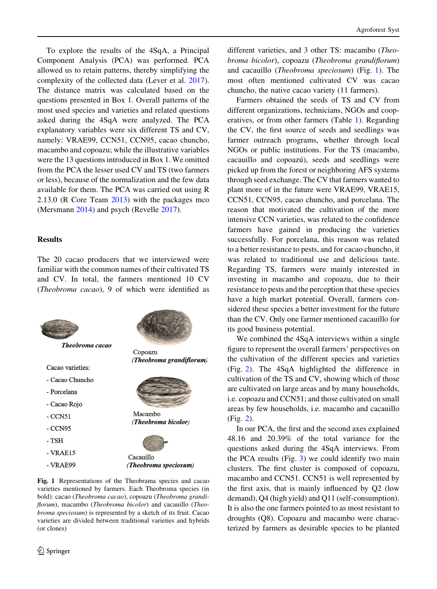To explore the results of the 4SqA, a Principal Component Analysis (PCA) was performed. PCA allowed us to retain patterns, thereby simplifying the complexity of the collected data (Lever et al. [2017](#page-8-0)). The distance matrix was calculated based on the questions presented in Box 1. Overall patterns of the most used species and varieties and related questions asked during the 4SqA were analyzed. The PCA explanatory variables were six different TS and CV, namely: VRAE99, CCN51, CCN95, cacao chuncho, macambo and copoazu; while the illustrative variables were the 13 questions introduced in Box 1. We omitted from the PCA the lesser used CV and TS (two farmers or less), because of the normalization and the few data available for them. The PCA was carried out using R 2.13.0 (R Core Team [2013](#page-8-0)) with the packages mco (Mersmann [2014\)](#page-8-0) and psych (Revelle [2017\)](#page-9-0).

## Results

The 20 cacao producers that we interviewed were familiar with the common names of their cultivated TS and CV. In total, the farmers mentioned 10 CV (Theobroma cacao), 9 of which were identified as



Fig. 1 Representations of the Theobrama species and cacao varieties mentioned by farmers. Each Theobroma species (in bold): cacao (Theobroma cacao), copoazu (Theobroma grandiflorum), macambo (Theobroma bicolor) and cacauillo (Theobroma speciosum) is represented by a sketch of its fruit. Cacao varieties are divided between traditional varieties and hybrids (or clones)

different varieties, and 3 other TS: macambo (Theobroma bicolor), copoazu (Theobroma grandiflorum) and cacauillo (Theobroma speciosum) (Fig. 1). The most often mentioned cultivated CV was cacao chuncho, the native cacao variety (11 farmers).

Farmers obtained the seeds of TS and CV from different organizations, technicians, NGOs and cooperatives, or from other farmers (Table [1](#page-4-0)). Regarding the CV, the first source of seeds and seedlings was farmer outreach programs, whether through local NGOs or public institutions. For the TS (macambo, cacauillo and copoazú), seeds and seedlings were picked up from the forest or neighboring AFS systems through seed exchange. The CV that farmers wanted to plant more of in the future were VRAE99, VRAE15, CCN51, CCN95, cacao chuncho, and porcelana. The reason that motivated the cultivation of the more intensive CCN varieties, was related to the confidence farmers have gained in producing the varieties successfully. For porcelana, this reason was related to a better resistance to pests, and for cacao chuncho, it was related to traditional use and delicious taste. Regarding TS, farmers were mainly interested in investing in macambo and copoazu, due to their resistance to pests and the perception that these species have a high market potential. Overall, farmers considered these species a better investment for the future than the CV. Only one farmer mentioned cacauillo for its good business potential.

We combined the 4SqA interviews within a single figure to represent the overall farmers' perspectives on the cultivation of the different species and varieties (Fig. [2](#page-4-0)). The 4SqA highlighted the difference in cultivation of the TS and CV, showing which of those are cultivated on large areas and by many households, i.e. copoazu and CCN51; and those cultivated on small areas by few households, i.e. macambo and cacauillo (Fig. [2](#page-4-0)).

In our PCA, the first and the second axes explained 48.16 and 20.39% of the total variance for the questions asked during the 4SqA interviews. From the PCA results (Fig. [3](#page-5-0)) we could identify two main clusters. The first cluster is composed of copoazu, macambo and CCN51. CCN51 is well represented by the first axis, that is mainly influenced by Q2 (low demand), Q4 (high yield) and Q11 (self-consumption). It is also the one farmers pointed to as most resistant to droughts (Q8). Copoazu and macambo were characterized by farmers as desirable species to be planted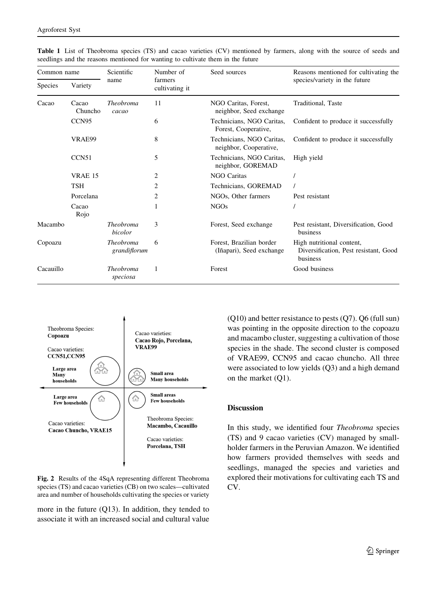| Common name    |                   | Scientific                       | Number of                 | Seed sources                                         | Reasons mentioned for cultivating the                                          |
|----------------|-------------------|----------------------------------|---------------------------|------------------------------------------------------|--------------------------------------------------------------------------------|
| <b>Species</b> | Variety           | name                             | farmers<br>cultivating it |                                                      | species/variety in the future                                                  |
| Cacao          | Cacao<br>Chuncho  | <b>Theobroma</b><br>cacao        | 11                        | NGO Caritas, Forest,<br>neighbor, Seed exchange      | Traditional, Taste                                                             |
|                | CCN <sub>95</sub> |                                  | 6                         | Technicians, NGO Caritas,<br>Forest, Cooperative,    | Confident to produce it successfully                                           |
|                | VRAE99            |                                  | 8                         | Technicians, NGO Caritas,<br>neighbor, Cooperative,  | Confident to produce it successfully                                           |
|                | CCN <sub>51</sub> |                                  | 5                         | Technicians, NGO Caritas,<br>neighbor, GOREMAD       | High yield                                                                     |
|                | <b>VRAE 15</b>    |                                  | 2                         | <b>NGO Caritas</b>                                   |                                                                                |
|                | <b>TSH</b>        |                                  | 2                         | Technicians, GOREMAD                                 |                                                                                |
|                | Porcelana         |                                  | 2                         | NGOs, Other farmers                                  | Pest resistant                                                                 |
|                | Cacao<br>Rojo     |                                  | 1                         | <b>NGOs</b>                                          |                                                                                |
| Macambo        |                   | <b>Theobroma</b><br>bicolor      | 3                         | Forest, Seed exchange                                | Pest resistant, Diversification, Good<br>business                              |
| Copoazu        |                   | <b>Theobroma</b><br>grandiflorum | 6                         | Forest. Brazilian border<br>(Iñapari), Seed exchange | High nutritional content,<br>Diversification, Pest resistant, Good<br>business |
| Cacauillo      |                   | <b>Theobroma</b><br>speciosa     | 1                         | Forest                                               | Good business                                                                  |

<span id="page-4-0"></span>Table 1 List of Theobroma species (TS) and cacao varieties (CV) mentioned by farmers, along with the source of seeds and seedlings and the reasons mentioned for wanting to cultivate them in the future



Fig. 2 Results of the 4SqA representing different Theobroma species (TS) and cacao varieties (CB) on two scales—cultivated area and number of households cultivating the species or variety

more in the future (Q13). In addition, they tended to associate it with an increased social and cultural value (Q10) and better resistance to pests (Q7). Q6 (full sun) was pointing in the opposite direction to the copoazu and macambo cluster, suggesting a cultivation of those species in the shade. The second cluster is composed of VRAE99, CCN95 and cacao chuncho. All three were associated to low yields (Q3) and a high demand on the market (Q1).

## **Discussion**

In this study, we identified four Theobroma species (TS) and 9 cacao varieties (CV) managed by smallholder farmers in the Peruvian Amazon. We identified how farmers provided themselves with seeds and seedlings, managed the species and varieties and explored their motivations for cultivating each TS and CV.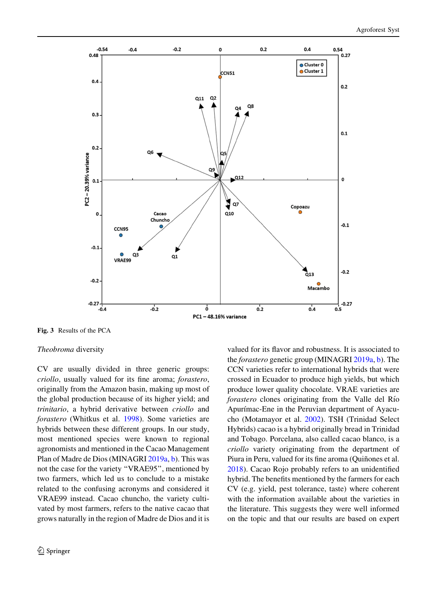<span id="page-5-0"></span>

Fig. 3 Results of the PCA

#### Theobroma diversity

CV are usually divided in three generic groups: criollo, usually valued for its fine aroma; forastero, originally from the Amazon basin, making up most of the global production because of its higher yield; and trinitario, a hybrid derivative between criollo and forastero (Whitkus et al. [1998\)](#page-9-0). Some varieties are hybrids between these different groups. In our study, most mentioned species were known to regional agronomists and mentioned in the Cacao Management Plan of Madre de Dios (MINAGRI [2019a,](#page-8-0) [b](#page-8-0)). This was not the case for the variety ''VRAE95'', mentioned by two farmers, which led us to conclude to a mistake related to the confusing acronyms and considered it VRAE99 instead. Cacao chuncho, the variety cultivated by most farmers, refers to the native cacao that grows naturally in the region of Madre de Dios and it is valued for its flavor and robustness. It is associated to the *forastero* genetic group (MINAGRI [2019a](#page-8-0), [b\)](#page-8-0). The CCN varieties refer to international hybrids that were crossed in Ecuador to produce high yields, but which produce lower quality chocolate. VRAE varieties are forastero clones originating from the Valle del Río Apurímac-Ene in the Peruvian department of Ayacucho (Motamayor et al. [2002\)](#page-8-0). TSH (Trinidad Select Hybrids) cacao is a hybrid originally bread in Trinidad and Tobago. Porcelana, also called cacao blanco, is a criollo variety originating from the department of Piura in Peru, valued for its fine aroma (Quiñones et al. [2018\)](#page-8-0). Cacao Rojo probably refers to an unidentified hybrid. The benefits mentioned by the farmers for each CV (e.g. yield, pest tolerance, taste) where coherent with the information available about the varieties in the literature. This suggests they were well informed on the topic and that our results are based on expert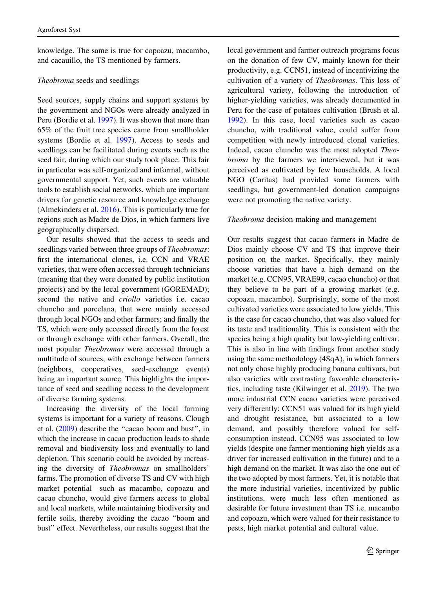knowledge. The same is true for copoazu, macambo, and cacauillo, the TS mentioned by farmers.

## Theobroma seeds and seedlings

Seed sources, supply chains and support systems by the government and NGOs were already analyzed in Peru (Bordie et al. [1997\)](#page-8-0). It was shown that more than 65% of the fruit tree species came from smallholder systems (Bordie et al. [1997](#page-8-0)). Access to seeds and seedlings can be facilitated during events such as the seed fair, during which our study took place. This fair in particular was self-organized and informal, without governmental support. Yet, such events are valuable tools to establish social networks, which are important drivers for genetic resource and knowledge exchange (Almekinders et al. [2016](#page-8-0)). This is particularly true for regions such as Madre de Dios, in which farmers live geographically dispersed.

Our results showed that the access to seeds and seedlings varied between three groups of *Theobromas*: first the international clones, i.e. CCN and VRAE varieties, that were often accessed through technicians (meaning that they were donated by public institution projects) and by the local government (GOREMAD); second the native and criollo varieties i.e. cacao chuncho and porcelana, that were mainly accessed through local NGOs and other farmers; and finally the TS, which were only accessed directly from the forest or through exchange with other farmers. Overall, the most popular Theobromas were accessed through a multitude of sources, with exchange between farmers (neighbors, cooperatives, seed-exchange events) being an important source. This highlights the importance of seed and seedling access to the development of diverse farming systems.

Increasing the diversity of the local farming systems is important for a variety of reasons. Clough et al. [\(2009](#page-8-0)) describe the ''cacao boom and bust'', in which the increase in cacao production leads to shade removal and biodiversity loss and eventually to land depletion. This scenario could be avoided by increasing the diversity of Theobromas on smallholders' farms. The promotion of diverse TS and CV with high market potential—such as macambo, copoazu and cacao chuncho, would give farmers access to global and local markets, while maintaining biodiversity and fertile soils, thereby avoiding the cacao ''boom and bust'' effect. Nevertheless, our results suggest that the local government and farmer outreach programs focus on the donation of few CV, mainly known for their productivity, e.g. CCN51, instead of incentivizing the cultivation of a variety of Theobromas. This loss of agricultural variety, following the introduction of higher-yielding varieties, was already documented in Peru for the case of potatoes cultivation (Brush et al. [1992\)](#page-8-0). In this case, local varieties such as cacao chuncho, with traditional value, could suffer from competition with newly introduced clonal varieties. Indeed, cacao chuncho was the most adopted Theobroma by the farmers we interviewed, but it was perceived as cultivated by few households. A local NGO (Caritas) had provided some farmers with seedlings, but government-led donation campaigns were not promoting the native variety.

## Theobroma decision-making and management

Our results suggest that cacao farmers in Madre de Dios mainly choose CV and TS that improve their position on the market. Specifically, they mainly choose varieties that have a high demand on the market (e.g. CCN95, VRAE99, cacao chuncho) or that they believe to be part of a growing market (e.g. copoazu, macambo). Surprisingly, some of the most cultivated varieties were associated to low yields. This is the case for cacao chuncho, that was also valued for its taste and traditionality. This is consistent with the species being a high quality but low-yielding cultivar. This is also in line with findings from another study using the same methodology (4SqA), in which farmers not only chose highly producing banana cultivars, but also varieties with contrasting favorable characteristics, including taste (Kilwinger et al. [2019\)](#page-8-0). The two more industrial CCN cacao varieties were perceived very differently: CCN51 was valued for its high yield and drought resistance, but associated to a low demand, and possibly therefore valued for selfconsumption instead. CCN95 was associated to low yields (despite one farmer mentioning high yields as a driver for increased cultivation in the future) and to a high demand on the market. It was also the one out of the two adopted by most farmers. Yet, it is notable that the more industrial varieties, incentivized by public institutions, were much less often mentioned as desirable for future investment than TS i.e. macambo and copoazu, which were valued for their resistance to pests, high market potential and cultural value.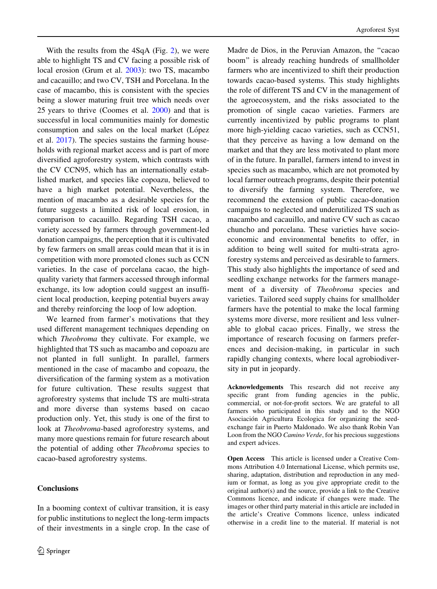With the results from the 4SqA (Fig. [2\)](#page-4-0), we were able to highlight TS and CV facing a possible risk of local erosion (Grum et al. [2003](#page-8-0)): two TS, macambo and cacauillo; and two CV, TSH and Porcelana. In the case of macambo, this is consistent with the species being a slower maturing fruit tree which needs over 25 years to thrive (Coomes et al. [2000](#page-8-0)) and that is successful in local communities mainly for domestic consumption and sales on the local market (López et al. [2017](#page-8-0)). The species sustains the farming households with regional market access and is part of more diversified agroforestry system, which contrasts with the CV CCN95, which has an internationally established market, and species like copoazu, believed to have a high market potential. Nevertheless, the mention of macambo as a desirable species for the future suggests a limited risk of local erosion, in comparison to cacauillo. Regarding TSH cacao, a variety accessed by farmers through government-led donation campaigns, the perception that it is cultivated by few farmers on small areas could mean that it is in competition with more promoted clones such as CCN varieties. In the case of porcelana cacao, the highquality variety that farmers accessed through informal exchange, its low adoption could suggest an insufficient local production, keeping potential buyers away and thereby reinforcing the loop of low adoption.

We learned from farmer's motivations that they used different management techniques depending on which *Theobroma* they cultivate. For example, we highlighted that TS such as macambo and copoazu are not planted in full sunlight. In parallel, farmers mentioned in the case of macambo and copoazu, the diversification of the farming system as a motivation for future cultivation. These results suggest that agroforestry systems that include TS are multi-strata and more diverse than systems based on cacao production only. Yet, this study is one of the first to look at Theobroma-based agroforestry systems, and many more questions remain for future research about the potential of adding other Theobroma species to cacao-based agroforestry systems.

## Conclusions

In a booming context of cultivar transition, it is easy for public institutions to neglect the long-term impacts of their investments in a single crop. In the case of Madre de Dios, in the Peruvian Amazon, the ''cacao boom'' is already reaching hundreds of smallholder farmers who are incentivized to shift their production towards cacao-based systems. This study highlights the role of different TS and CV in the management of the agroecosystem, and the risks associated to the promotion of single cacao varieties. Farmers are currently incentivized by public programs to plant more high-yielding cacao varieties, such as CCN51, that they perceive as having a low demand on the market and that they are less motivated to plant more of in the future. In parallel, farmers intend to invest in species such as macambo, which are not promoted by local farmer outreach programs, despite their potential to diversify the farming system. Therefore, we recommend the extension of public cacao-donation campaigns to neglected and underutilized TS such as macambo and cacauillo, and native CV such as cacao chuncho and porcelana. These varieties have socioeconomic and environmental benefits to offer, in addition to being well suited for multi-strata agroforestry systems and perceived as desirable to farmers. This study also highlights the importance of seed and seedling exchange networks for the farmers management of a diversity of Theobroma species and varieties. Tailored seed supply chains for smallholder farmers have the potential to make the local farming systems more diverse, more resilient and less vulnerable to global cacao prices. Finally, we stress the importance of research focusing on farmers preferences and decision-making, in particular in such rapidly changing contexts, where local agrobiodiversity in put in jeopardy.

Acknowledgements This research did not receive any specific grant from funding agencies in the public, commercial, or not-for-profit sectors. We are grateful to all farmers who participated in this study and to the NGO Asociación Agricultura Ecologica for organizing the seedexchange fair in Puerto Maldonado. We also thank Robin Van Loon from the NGO Camino Verde, for his precious suggestions and expert advices.

Open Access This article is licensed under a Creative Commons Attribution 4.0 International License, which permits use, sharing, adaptation, distribution and reproduction in any medium or format, as long as you give appropriate credit to the original author(s) and the source, provide a link to the Creative Commons licence, and indicate if changes were made. The images or other third party material in this article are included in the article's Creative Commons licence, unless indicated otherwise in a credit line to the material. If material is not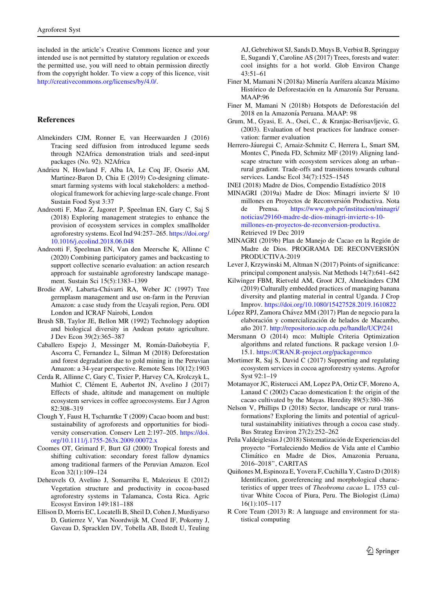<span id="page-8-0"></span>included in the article's Creative Commons licence and your intended use is not permitted by statutory regulation or exceeds the permitted use, you will need to obtain permission directly from the copyright holder. To view a copy of this licence, visit <http://creativecommons.org/licenses/by/4.0/>.

## References

- Almekinders CJM, Ronner E, van Heerwaarden J (2016) Tracing seed diffusion from introduced legume seeds through N2Africa demonstration trials and seed-input packages (No. 92). N2Africa
- Andrieu N, Howland F, Alba IA, Le Coq JF, Osorio AM, Martinez-Baron D, Chia E (2019) Co-designing climatesmart farming systems with local stakeholders: a methodological framework for achieving large-scale change. Front Sustain Food Syst 3:37
- Andreotti F, Mao Z, Jagoret P, Speelman EN, Gary C, Saj S (2018) Exploring management strategies to enhance the provision of ecosystem services in complex smallholder agroforestry systems. Ecol Ind 94:257–265. [https://doi.org/](https://doi.org/10.1016/j.ecolind.2018.06.048) [10.1016/j.ecolind.2018.06.048](https://doi.org/10.1016/j.ecolind.2018.06.048)
- Andreotti F, Speelman EN, Van den Meersche K, Allinne C (2020) Combining participatory games and backcasting to support collective scenario evaluation: an action research approach for sustainable agroforestry landscape management. Sustain Sci 15(5):1383–1399
- Brodie AW, Labarta-Chávarri RA, Weber JC (1997) Tree germplasm management and use on-farm in the Peruvian Amazon: a case study from the Ucayali region, Peru. ODI London and ICRAF Nairobi, London
- Brush SB, Taylor JE, Bellon MR (1992) Technology adoption and biological diversity in Andean potato agriculture. J Dev Econ 39(2):365–387
- Caballero Espejo J, Messinger M, Román-Dañobeytia F, Ascorra C, Fernandez L, Silman M (2018) Deforestation and forest degradation due to gold mining in the Peruvian Amazon: a 34-year perspective. Remote Sens 10(12):1903
- Cerda R, Allinne C, Gary C, Tixier P, Harvey CA, Krolczyk L, Mathiot C, Clément E, Aubertot JN, Avelino J (2017) Effects of shade, altitude and management on multiple ecosystem services in coffee agroecosystems. Eur J Agron 82:308–319
- Clough Y, Faust H, Tscharntke T (2009) Cacao boom and bust: sustainability of agroforests and opportunities for biodiversity conservation. Conserv Lett 2:197–205. [https://doi.](https://doi.org/10.1111/j.1755-263x.2009.00072.x) [org/10.1111/j.1755-263x.2009.00072.x](https://doi.org/10.1111/j.1755-263x.2009.00072.x)
- Coomes OT, Grimard F, Burt GJ (2000) Tropical forests and shifting cultivation: secondary forest fallow dynamics among traditional farmers of the Peruvian Amazon. Ecol Econ 32(1):109–124
- Deheuvels O, Avelino J, Somarriba E, Malezieux E (2012) Vegetation structure and productivity in cocoa-based agroforestry systems in Talamanca, Costa Rica. Agric Ecosyst Environ 149:181–188
- Ellison D, Morris EC, Locatelli B, Sheil D, Cohen J, Murdiyarso D, Gutierrez V, Van Noordwijk M, Creed IF, Pokorny J, Gaveau D, Spracklen DV, Tobella AB, Ilstedt U, Teuling

AJ, Gebrehiwot SJ, Sands D, Muys B, Verbist B, Springgay E, Sugandi Y, Caroline AS (2017) Trees, forests and water: cool insights for a hot world. Glob Environ Change 43:51–61

- Finer M, Mamani N (2018a) Minería Aurífera alcanza Máximo Histórico de Deforestación en la Amazonía Sur Peruana. MAAP:96
- Finer M, Mamani N (2018b) Hotspots de Deforestación del 2018 en la Amazonía Peruana. MAAP: 98
- Grum, M., Gyasi, E. A., Osei, C., & Kranjac-Berisavljevic, G. (2003). Evaluation of best practices for landrace conservation: farmer evaluation
- Herrero-Jáuregui C, Arnaiz-Schmitz C, Herrera L, Smart SM, Montes C, Pineda FD, Schmitz MF (2019) Aligning landscape structure with ecosystem services along an urban– rural gradient. Trade-offs and transitions towards cultural services. Landsc Ecol 34(7):1525–1545
- INEI (2018) Madre de Dios, Compendio Estadístico 2018
- MINAGRI (2019a) Madre de Dios: Minagri invierte S/ 10 millones en Proyectos de Reconversión Productiva. Nota de Prensa. [https://www.gob.pe/institucion/minagri/](https://www.gob.pe/institucion/minagri/noticias/29160-madre-de-dios-minagri-invierte-s-10-millones-en-proyectos-de-reconversion-productiva) [noticias/29160-madre-de-dios-minagri-invierte-s-10](https://www.gob.pe/institucion/minagri/noticias/29160-madre-de-dios-minagri-invierte-s-10-millones-en-proyectos-de-reconversion-productiva) [millones-en-proyectos-de-reconversion-productiva.](https://www.gob.pe/institucion/minagri/noticias/29160-madre-de-dios-minagri-invierte-s-10-millones-en-proyectos-de-reconversion-productiva) Retrieved 19 Dec 2019
- MINAGRI (2019b) Plan de Manejo de Cacao en la Región de Madre de Dios. PROGRAMA DE RECONVERSIÓN PRODUCTIVA-2019
- Lever J, Krzywinski M, Altman N (2017) Points of significance: principal component analysis. Nat Methods 14(7):641–642
- Kilwinger FBM, Rietveld AM, Groot JCJ, Almekinders CJM (2019) Culturally embedded practices of managing banana diversity and planting material in central Uganda. J Crop Improv. <https://doi.org/10.1080/15427528.2019.1610822>
- López RPJ, Zamora Chávez MM (2017) Plan de negocio para la elaboración y comercialización de helados de Macambo, año 2017. <http://repositorio.ucp.edu.pe/handle/UCP/241>
- Mersmann O (2014) mco: Multiple Criteria Optimization algorithms and related functions. R package version 1.0- 15.1. <https://CRAN.R-project.org/package=mco>
- Mortimer R, Saj S, David C (2017) Supporting and regulating ecosystem services in cocoa agroforestry systems. Agrofor Syst 92:1–19
- Motamayor JC, Risterucci AM, Lopez PA, Ortiz CF, Moreno A, Lanaud C (2002) Cacao domestication I: the origin of the cacao cultivated by the Mayas. Heredity 89(5):380–386
- Nelson V, Phillips D (2018) Sector, landscape or rural transformations? Exploring the limits and potential of agricultural sustainability initiatives through a cocoa case study. Bus Strateg Environ 27(2):252–262
- Peña Valdeiglesias J (2018) Sistematización de Experiencias del proyecto ''Fortaleciendo Medios de Vida ante el Cambio Clima´tico en Madre de Dios, Amazonia Peruana, 2016–2018'', CARITAS
- Quiñones M, Espinoza E, Yovera F, Cuchilla Y, Castro D (2018) Identification, georeferencing and morphological characteristics of upper trees of Theobroma cacao L. 1753 cultivar White Cocoa of Piura, Peru. The Biologist (Lima) 16(1):105–117
- R Core Team (2013) R: A language and environment for statistical computing